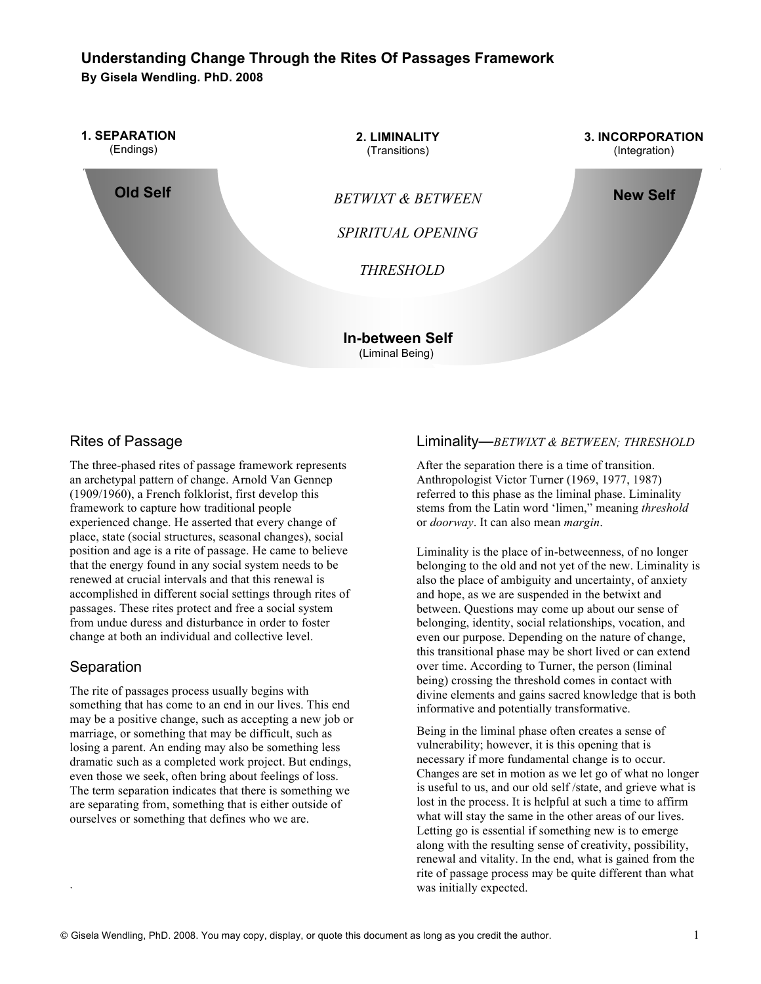# **Understanding Change Through the Rites Of Passages Framework By Gisela Wendling. PhD. 2008**



# Rites of Passage

The three-phased rites of passage framework represents an archetypal pattern of change. Arnold Van Gennep (1909/1960), a French folklorist, first develop this framework to capture how traditional people experienced change. He asserted that every change of place, state (social structures, seasonal changes), social position and age is a rite of passage. He came to believe that the energy found in any social system needs to be renewed at crucial intervals and that this renewal is accomplished in different social settings through rites of passages. These rites protect and free a social system from undue duress and disturbance in order to foster change at both an individual and collective level.

## **Separation**

.

The rite of passages process usually begins with something that has come to an end in our lives. This end may be a positive change, such as accepting a new job or marriage, or something that may be difficult, such as losing a parent. An ending may also be something less dramatic such as a completed work project. But endings, even those we seek, often bring about feelings of loss. The term separation indicates that there is something we are separating from, something that is either outside of ourselves or something that defines who we are.

#### Liminality—*BETWIXT & BETWEEN; THRESHOLD*

After the separation there is a time of transition. Anthropologist Victor Turner (1969, 1977, 1987) referred to this phase as the liminal phase. Liminality stems from the Latin word 'limen," meaning *threshold* or *doorway*. It can also mean *margin*.

Liminality is the place of in-betweenness, of no longer belonging to the old and not yet of the new. Liminality is also the place of ambiguity and uncertainty, of anxiety and hope, as we are suspended in the betwixt and between. Questions may come up about our sense of belonging, identity, social relationships, vocation, and even our purpose. Depending on the nature of change, this transitional phase may be short lived or can extend over time. According to Turner, the person (liminal being) crossing the threshold comes in contact with divine elements and gains sacred knowledge that is both informative and potentially transformative.

Being in the liminal phase often creates a sense of vulnerability; however, it is this opening that is necessary if more fundamental change is to occur. Changes are set in motion as we let go of what no longer is useful to us, and our old self /state, and grieve what is lost in the process. It is helpful at such a time to affirm what will stay the same in the other areas of our lives. Letting go is essential if something new is to emerge along with the resulting sense of creativity, possibility, renewal and vitality. In the end, what is gained from the rite of passage process may be quite different than what was initially expected.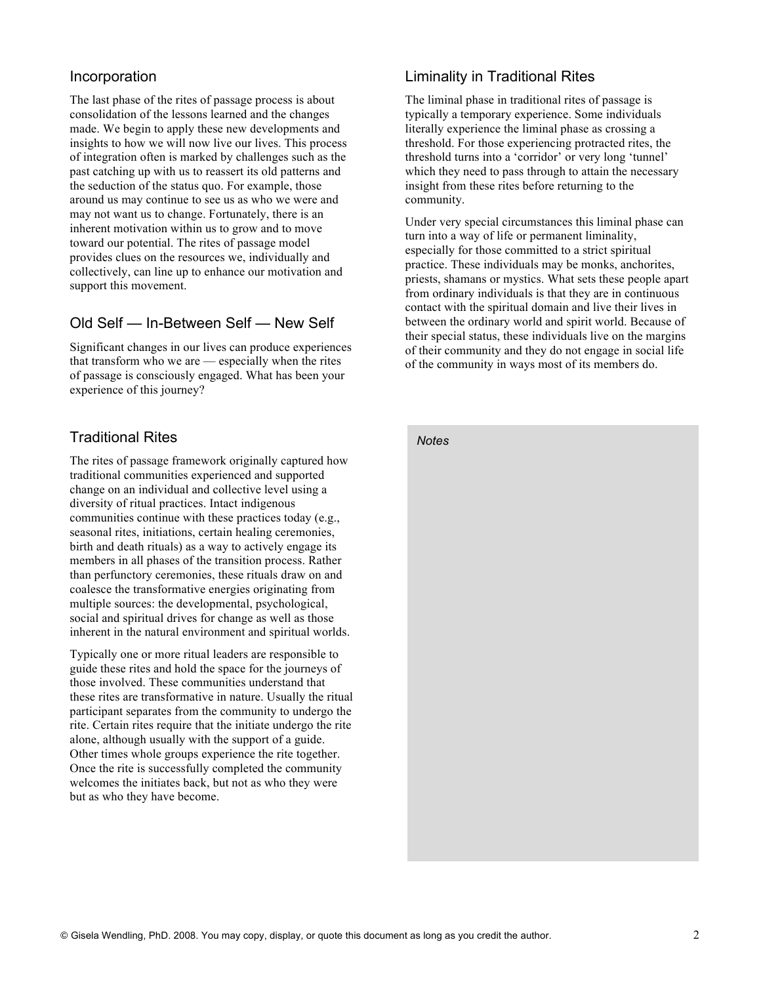### Incorporation

The last phase of the rites of passage process is about consolidation of the lessons learned and the changes made. We begin to apply these new developments and insights to how we will now live our lives. This process of integration often is marked by challenges such as the past catching up with us to reassert its old patterns and the seduction of the status quo. For example, those around us may continue to see us as who we were and may not want us to change. Fortunately, there is an inherent motivation within us to grow and to move toward our potential. The rites of passage model provides clues on the resources we, individually and collectively, can line up to enhance our motivation and support this movement.

## Old Self — In-Between Self — New Self

Significant changes in our lives can produce experiences that transform who we are — especially when the rites of passage is consciously engaged. What has been your experience of this journey?

# Traditional Rites

The rites of passage framework originally captured how traditional communities experienced and supported change on an individual and collective level using a diversity of ritual practices. Intact indigenous communities continue with these practices today (e.g., seasonal rites, initiations, certain healing ceremonies, birth and death rituals) as a way to actively engage its members in all phases of the transition process. Rather than perfunctory ceremonies, these rituals draw on and coalesce the transformative energies originating from multiple sources: the developmental, psychological, social and spiritual drives for change as well as those inherent in the natural environment and spiritual worlds.

Typically one or more ritual leaders are responsible to guide these rites and hold the space for the journeys of those involved. These communities understand that these rites are transformative in nature. Usually the ritual participant separates from the community to undergo the rite. Certain rites require that the initiate undergo the rite alone, although usually with the support of a guide. Other times whole groups experience the rite together. Once the rite is successfully completed the community welcomes the initiates back, but not as who they were but as who they have become.

### Liminality in Traditional Rites

The liminal phase in traditional rites of passage is typically a temporary experience. Some individuals literally experience the liminal phase as crossing a threshold. For those experiencing protracted rites, the threshold turns into a 'corridor' or very long 'tunnel' which they need to pass through to attain the necessary insight from these rites before returning to the community.

Under very special circumstances this liminal phase can turn into a way of life or permanent liminality, especially for those committed to a strict spiritual practice. These individuals may be monks, anchorites, priests, shamans or mystics. What sets these people apart from ordinary individuals is that they are in continuous contact with the spiritual domain and live their lives in between the ordinary world and spirit world. Because of their special status, these individuals live on the margins of their community and they do not engage in social life of the community in ways most of its members do.